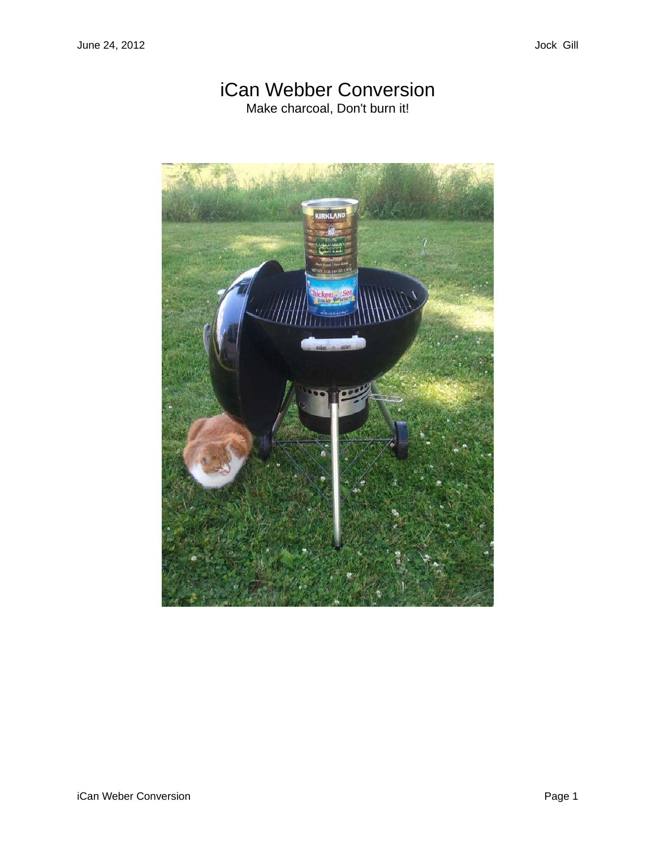## iCan Webber Conversion Make charcoal, Don't burn it!

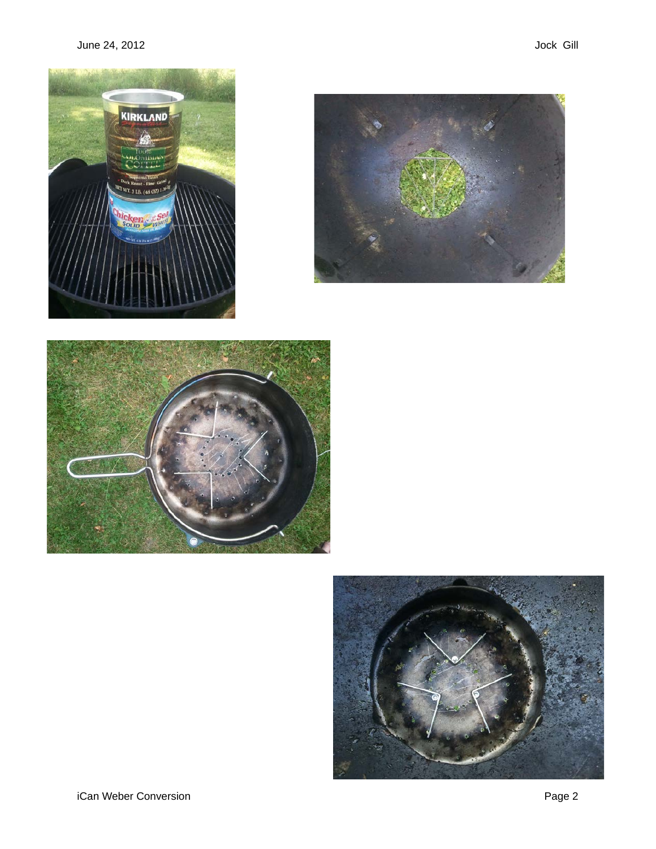





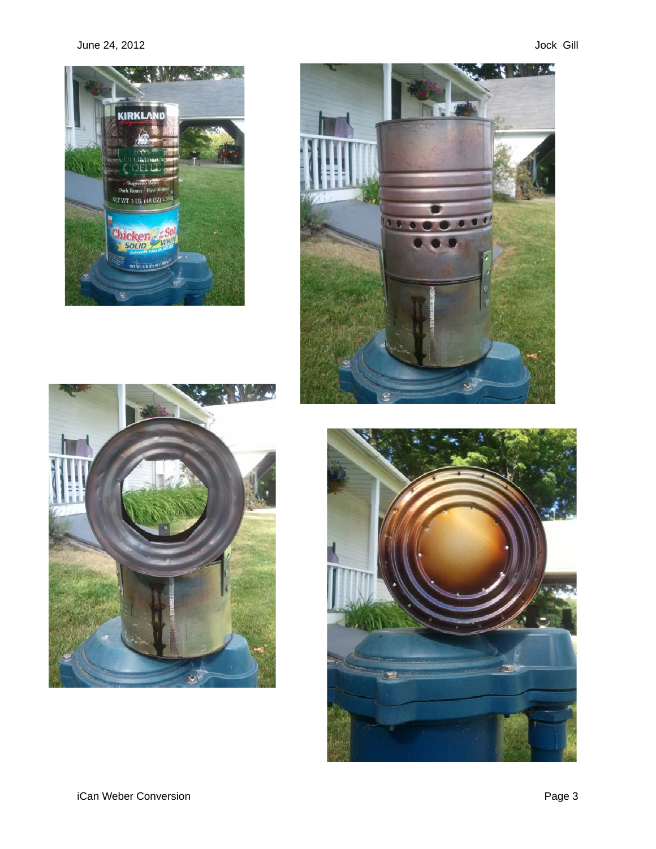## June 24, 2012 Jock Gill







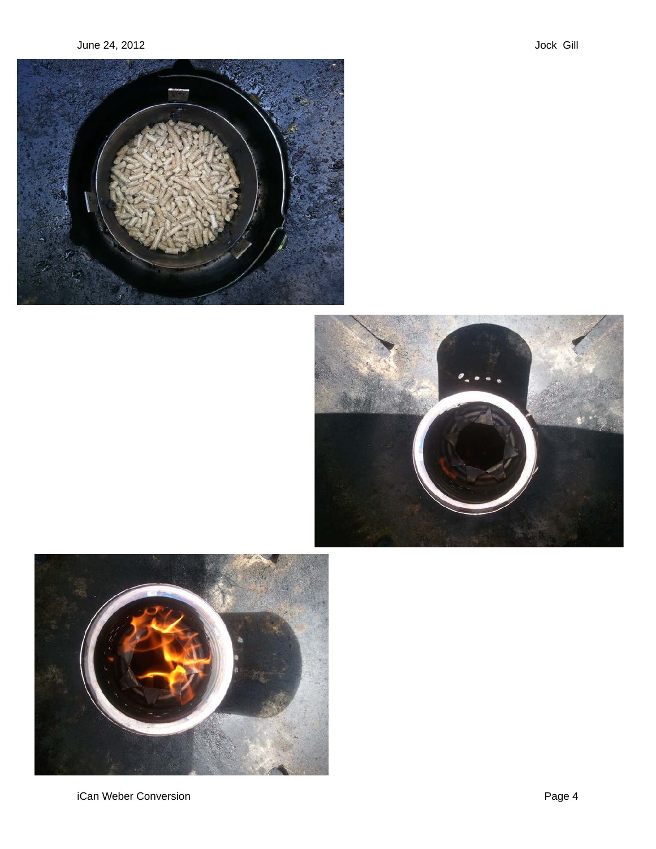